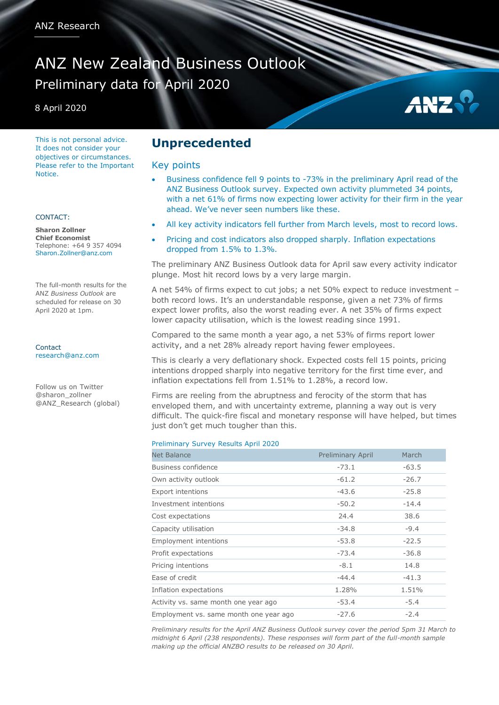# ANZ New Zealand Business Outlook Preliminary data for April 2020

8 April 2020

This is not personal advice. It does not consider your objectives or circumstances. Please refer to the Important **Notice** 

#### CONTACT:

**Sharon Zollner Chief Economist** Telephone: +64 9 357 4094 Sharon.Zollner@anz.com

The full-month results for the ANZ *Business Outlook* are scheduled for release on 30 April 2020 at 1pm.

**Contact** [research@anz.com](mailto:research@anz.com)

Follow us on Twitter @sharon\_zollner @ANZ\_Research (global)

### **Unprecedented**

#### Key points

 Business confidence fell 9 points to -73% in the preliminary April read of the ANZ Business Outlook survey. Expected own activity plummeted 34 points, with a net 61% of firms now expecting lower activity for their firm in the year ahead. We've never seen numbers like these.

AN!

- All key activity indicators fell further from March levels, most to record lows.
- Pricing and cost indicators also dropped sharply. Inflation expectations dropped from 1.5% to 1.3%.

The preliminary ANZ Business Outlook data for April saw every activity indicator plunge. Most hit record lows by a very large margin.

A net 54% of firms expect to cut jobs; a net 50% expect to reduce investment – both record lows. It's an understandable response, given a net 73% of firms expect lower profits, also the worst reading ever. A net 35% of firms expect lower capacity utilisation, which is the lowest reading since 1991.

Compared to the same month a year ago, a net 53% of firms report lower activity, and a net 28% already report having fewer employees.

This is clearly a very deflationary shock. Expected costs fell 15 points, pricing intentions dropped sharply into negative territory for the first time ever, and inflation expectations fell from 1.51% to 1.28%, a record low.

Firms are reeling from the abruptness and ferocity of the storm that has enveloped them, and with uncertainty extreme, planning a way out is very difficult. The quick-fire fiscal and monetary response will have helped, but times just don't get much tougher than this.

#### Preliminary Survey Results April 2020

| <b>Net Balance</b>                     | <b>Preliminary April</b> | March   |
|----------------------------------------|--------------------------|---------|
| Business confidence                    | $-73.1$                  | $-63.5$ |
| Own activity outlook                   | $-61.2$                  | $-26.7$ |
| <b>Export intentions</b>               | $-43.6$                  | $-25.8$ |
| Investment intentions                  | $-50.2$                  | $-14.4$ |
| Cost expectations                      | 24.4                     | 38.6    |
| Capacity utilisation                   | $-34.8$                  | $-9.4$  |
| <b>Employment intentions</b>           | $-53.8$                  | $-22.5$ |
| Profit expectations                    | $-73.4$                  | $-36.8$ |
| Pricing intentions                     | $-8.1$                   | 14.8    |
| Ease of credit                         | $-44.4$                  | $-41.3$ |
| Inflation expectations                 | 1.28%                    | 1.51%   |
| Activity vs. same month one year ago   | $-53.4$                  | $-5.4$  |
| Employment vs. same month one year ago | $-27.6$                  | $-2.4$  |

*Preliminary results for the April ANZ Business Outlook survey cover the period 5pm 31 March to midnight 6 April (238 respondents). These responses will form part of the full-month sample making up the official ANZBO results to be released on 30 April.*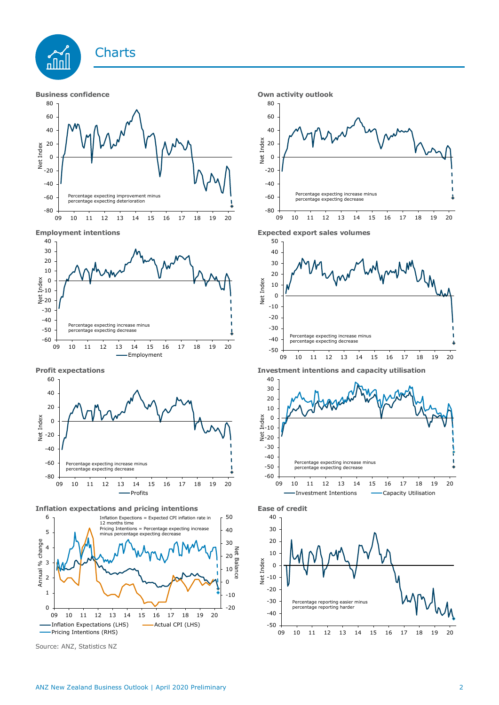







**Inflation expectations and pricing intentions Ease of credit**



Source: ANZ, Statistics NZ







**Profit expectations Investment intentions and capacity utilisation**



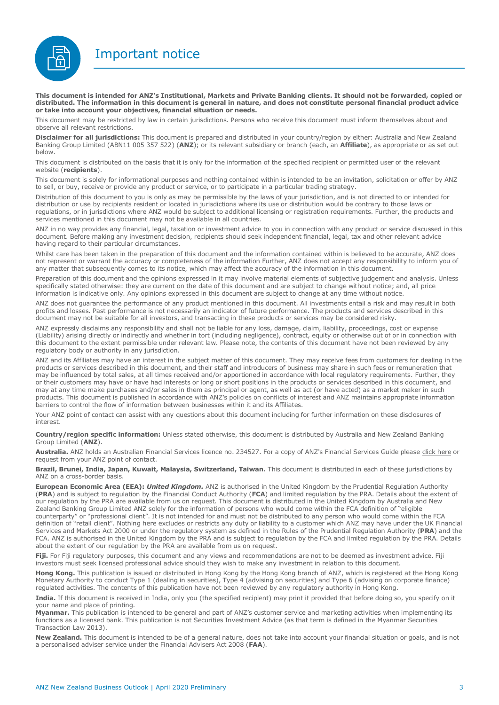Important notice



**This document is intended for ANZ's Institutional, Markets and Private Banking clients. It should not be forwarded, copied or distributed. The information in this document is general in nature, and does not constitute personal financial product advice or take into account your objectives, financial situation or needs.** 

This document may be restricted by law in certain jurisdictions. Persons who receive this document must inform themselves about and observe all relevant restrictions.

**Disclaimer for all jurisdictions:** This document is prepared and distributed in your country/region by either: Australia and New Zealand Banking Group Limited (ABN11 005 357 522) (**ANZ**); or its relevant subsidiary or branch (each, an **Affiliate**), as appropriate or as set out below.

This document is distributed on the basis that it is only for the information of the specified recipient or permitted user of the relevant website (**recipients**).

This document is solely for informational purposes and nothing contained within is intended to be an invitation, solicitation or offer by ANZ to sell, or buy, receive or provide any product or service, or to participate in a particular trading strategy.

Distribution of this document to you is only as may be permissible by the laws of your jurisdiction, and is not directed to or intended for distribution or use by recipients resident or located in jurisdictions where its use or distribution would be contrary to those laws or regulations, or in jurisdictions where ANZ would be subject to additional licensing or registration requirements. Further, the products and services mentioned in this document may not be available in all countries.

ANZ in no way provides any financial, legal, taxation or investment advice to you in connection with any product or service discussed in this document. Before making any investment decision, recipients should seek independent financial, legal, tax and other relevant advice having regard to their particular circumstances.

Whilst care has been taken in the preparation of this document and the information contained within is believed to be accurate, ANZ does not represent or warrant the accuracy or completeness of the information Further, ANZ does not accept any responsibility to inform you of any matter that subsequently comes to its notice, which may affect the accuracy of the information in this document.

Preparation of this document and the opinions expressed in it may involve material elements of subjective judgement and analysis. Unless specifically stated otherwise: they are current on the date of this document and are subject to change without notice; and, all price information is indicative only. Any opinions expressed in this document are subject to change at any time without notice.

ANZ does not guarantee the performance of any product mentioned in this document. All investments entail a risk and may result in both profits and losses. Past performance is not necessarily an indicator of future performance. The products and services described in this document may not be suitable for all investors, and transacting in these products or services may be considered risky.

ANZ expressly disclaims any responsibility and shall not be liable for any loss, damage, claim, liability, proceedings, cost or expense (Liability) arising directly or indirectly and whether in tort (including negligence), contract, equity or otherwise out of or in connection with this document to the extent permissible under relevant law. Please note, the contents of this document have not been reviewed by any regulatory body or authority in any jurisdiction.

ANZ and its Affiliates may have an interest in the subject matter of this document. They may receive fees from customers for dealing in the products or services described in this document, and their staff and introducers of business may share in such fees or remuneration that may be influenced by total sales, at all times received and/or apportioned in accordance with local regulatory requirements. Further, they or their customers may have or have had interests or long or short positions in the products or services described in this document, and may at any time make purchases and/or sales in them as principal or agent, as well as act (or have acted) as a market maker in such products. This document is published in accordance with ANZ's policies on conflicts of interest and ANZ maintains appropriate information barriers to control the flow of information between businesses within it and its Affiliates.

Your ANZ point of contact can assist with any questions about this document including for further information on these disclosures of interest.

**Country/region specific information:** Unless stated otherwise, this document is distributed by Australia and New Zealand Banking Group Limited (**ANZ**).

Australia. ANZ holds an Australian Financial Services licence no. 234527. For a copy of ANZ's Financial Services Guide please [click here](http://www.anz.com/documents/AU/aboutANZ/FinancialServicesGuide.pdf) or request from your ANZ point of contact.

**Brazil, Brunei, India, Japan, Kuwait, Malaysia, Switzerland, Taiwan.** This document is distributed in each of these jurisdictions by ANZ on a cross-border basis.

**European Economic Area (EEA):** *United Kingdom.* ANZ is authorised in the United Kingdom by the Prudential Regulation Authority (**PRA**) and is subject to regulation by the Financial Conduct Authority (**FCA**) and limited regulation by the PRA. Details about the extent of our regulation by the PRA are available from us on request. This document is distributed in the United Kingdom by Australia and New Zealand Banking Group Limited ANZ solely for the information of persons who would come within the FCA definition of "eligible counterparty" or "professional client". It is not intended for and must not be distributed to any person who would come within the FCA definition of "retail client". Nothing here excludes or restricts any duty or liability to a customer which ANZ may have under the UK Financial Services and Markets Act 2000 or under the regulatory system as defined in the Rules of the Prudential Regulation Authority (**PRA**) and the FCA. ANZ is authorised in the United Kingdom by the PRA and is subject to regulation by the FCA and limited regulation by the PRA. Details about the extent of our regulation by the PRA are available from us on request.

Fiji. For Fiji regulatory purposes, this document and any views and recommendations are not to be deemed as investment advice. Fiji investors must seek licensed professional advice should they wish to make any investment in relation to this document.

**Hong Kong.** This publication is issued or distributed in Hong Kong by the Hong Kong branch of ANZ, which is registered at the Hong Kong Monetary Authority to conduct Type 1 (dealing in securities), Type 4 (advising on securities) and Type 6 (advising on corporate finance) regulated activities. The contents of this publication have not been reviewed by any regulatory authority in Hong Kong.

**India.** If this document is received in India, only you (the specified recipient) may print it provided that before doing so, you specify on it your name and place of printing.

**Myanmar.** This publication is intended to be general and part of ANZ's customer service and marketing activities when implementing its functions as a licensed bank. This publication is not Securities Investment Advice (as that term is defined in the Myanmar Securities Transaction Law 2013).

**New Zealand.** This document is intended to be of a general nature, does not take into account your financial situation or goals, and is not a personalised adviser service under the Financial Advisers Act 2008 (**FAA**).